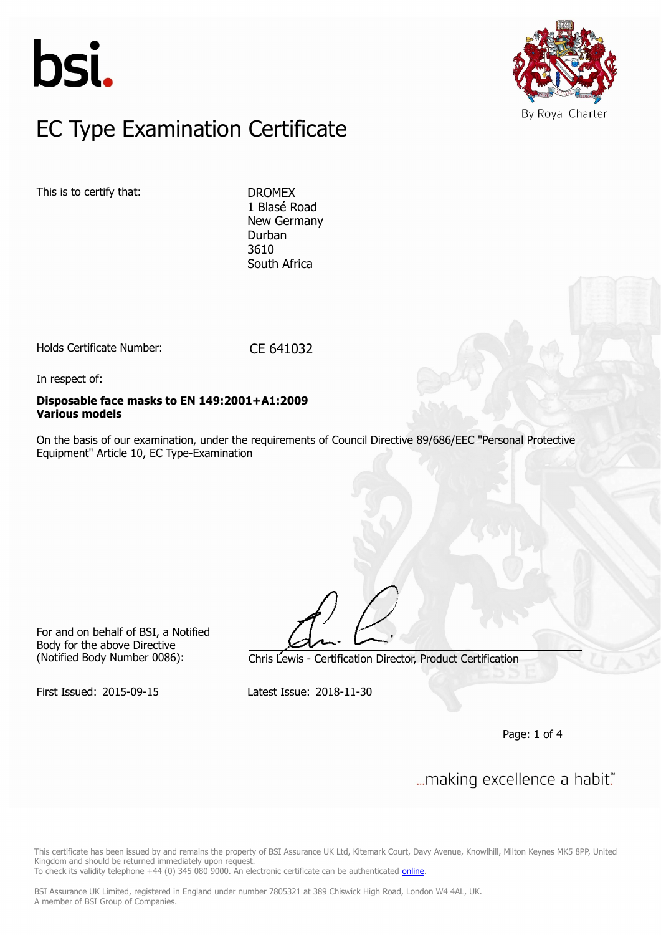



### $FC$  Type Examination Certific EC Type Examination Certificate

This is to certify that: DROMEX

1 Blasé Road New Germany Durban 3610 South Africa

Holds Certificate Number: CE 641032

In respect of:

#### **Disposable face masks to EN 149:2001+A1:2009 Various models**

On the basis of our examination, under the requirements of Council Directive 89/686/EEC "Personal Protective Equipment" Article 10, EC Type-Examination

For and on behalf of BSI, a Notified Body for the above Directive

(Notified Body Number 0086): Chris Lewis - Certification Director, Product Certification

First Issued: 2015-09-15 Latest Issue: 2018-11-30

Page: 1 of 4

... making excellence a habit."

This certificate has been issued by and remains the property of BSI Assurance UK Ltd, Kitemark Court, Davy Avenue, Knowlhill, Milton Keynes MK5 8PP, United Kingdom and should be returned immediately upon request.

To check its validity telephone +44 (0) 345 080 9000. An electronic certificate can be authenticated *[online](https://pgplus.bsigroup.com/CertificateValidation/CertificateValidator.aspx?CertificateNumber=CE+641032&ReIssueDate=30%2f11%2f2018&Template=uk)*.

BSI Assurance UK Limited, registered in England under number 7805321 at 389 Chiswick High Road, London W4 4AL, UK. A member of BSI Group of Companies.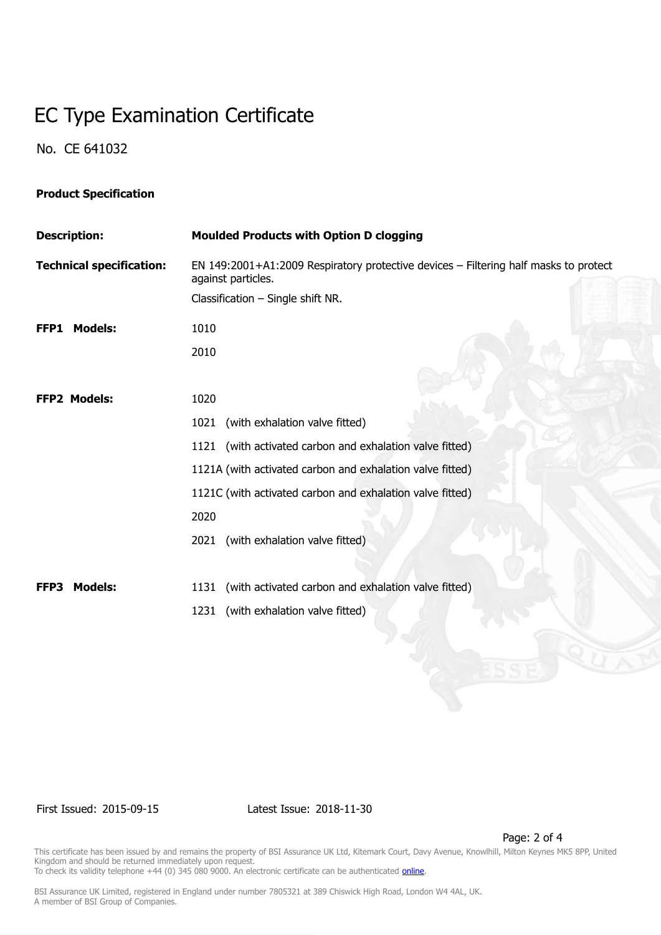# EC Type Examination Certificate

No. CE 641032

### **Product Specification**

| <b>Description:</b>             | <b>Moulded Products with Option D clogging</b>                                                             |
|---------------------------------|------------------------------------------------------------------------------------------------------------|
| <b>Technical specification:</b> | EN 149:2001+A1:2009 Respiratory protective devices - Filtering half masks to protect<br>against particles. |
|                                 | Classification - Single shift NR.                                                                          |
| <b>Models:</b><br>FFP1          | 1010                                                                                                       |
|                                 | 2010                                                                                                       |
|                                 |                                                                                                            |
| <b>FFP2 Models:</b>             | 1020                                                                                                       |
|                                 | 1021 (with exhalation valve fitted)                                                                        |
|                                 | 1121 (with activated carbon and exhalation valve fitted)                                                   |
|                                 | 1121A (with activated carbon and exhalation valve fitted)                                                  |
|                                 | 1121C (with activated carbon and exhalation valve fitted)                                                  |
|                                 | 2020                                                                                                       |
|                                 | 2021 (with exhalation valve fitted)                                                                        |
|                                 |                                                                                                            |
| <b>Models:</b><br>FFP3          | 1131 (with activated carbon and exhalation valve fitted)                                                   |
|                                 | 1231 (with exhalation valve fitted)                                                                        |

First Issued: 2015-09-15 Latest Issue: 2018-11-30

Page: 2 of 4

This certificate has been issued by and remains the property of BSI Assurance UK Ltd, Kitemark Court, Davy Avenue, Knowlhill, Milton Keynes MK5 8PP, United Kingdom and should be returned immediately upon request. To check its validity telephone +44 (0) 345 080 9000. An electronic certificate can be authenticated *[online](https://pgplus.bsigroup.com/CertificateValidation/CertificateValidator.aspx?CertificateNumber=CE+641032&ReIssueDate=30%2f11%2f2018&Template=uk)*.

BSI Assurance UK Limited, registered in England under number 7805321 at 389 Chiswick High Road, London W4 4AL, UK.

A member of BSI Group of Companies.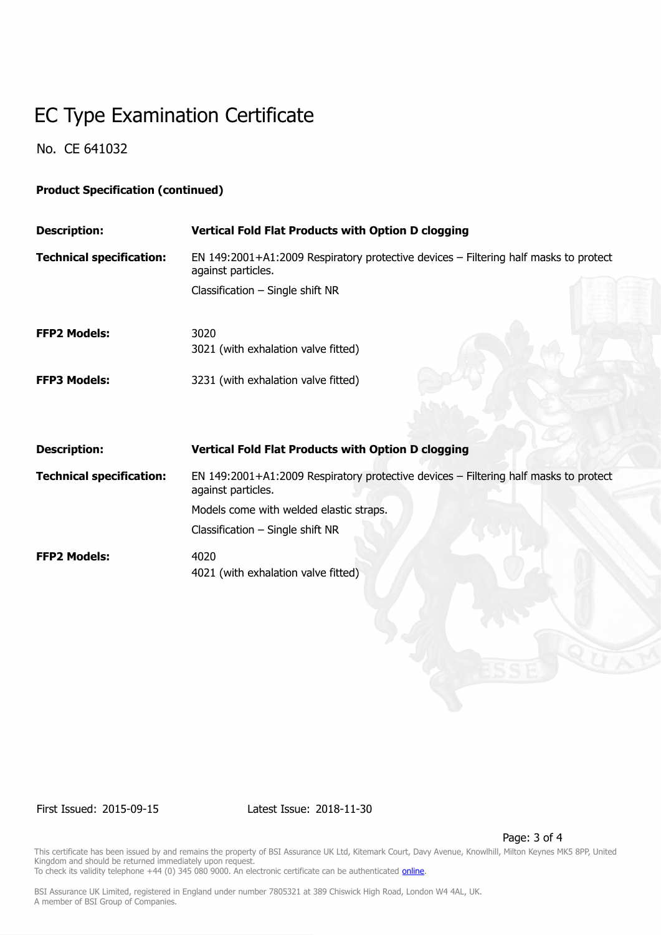# EC Type Examination Certificate

No. CE 641032

### **Product Specification (continued)**

| <b>Description:</b>             | <b>Vertical Fold Flat Products with Option D clogging</b>                                                  |
|---------------------------------|------------------------------------------------------------------------------------------------------------|
| <b>Technical specification:</b> | EN 149:2001+A1:2009 Respiratory protective devices - Filtering half masks to protect<br>against particles. |
|                                 | Classification $-$ Single shift NR                                                                         |
| <b>FFP2 Models:</b>             | 3020                                                                                                       |
|                                 | 3021 (with exhalation valve fitted)                                                                        |
| <b>FFP3 Models:</b>             | 3231 (with exhalation valve fitted)                                                                        |
|                                 |                                                                                                            |
| <b>Description:</b>             | <b>Vertical Fold Flat Products with Option D clogging</b>                                                  |
| <b>Technical specification:</b> | EN 149:2001+A1:2009 Respiratory protective devices - Filtering half masks to protect<br>against particles. |
|                                 | Models come with welded elastic straps.                                                                    |
|                                 | Classification $-$ Single shift NR                                                                         |
| <b>FFP2 Models:</b>             | 4020                                                                                                       |
|                                 | 4021 (with exhalation valve fitted)                                                                        |

First Issued: 2015-09-15 Latest Issue: 2018-11-30

Page: 3 of 4

This certificate has been issued by and remains the property of BSI Assurance UK Ltd, Kitemark Court, Davy Avenue, Knowlhill, Milton Keynes MK5 8PP, United Kingdom and should be returned immediately upon request. To check its validity telephone +44 (0) 345 080 9000. An electronic certificate can be authenticated *[online](https://pgplus.bsigroup.com/CertificateValidation/CertificateValidator.aspx?CertificateNumber=CE+641032&ReIssueDate=30%2f11%2f2018&Template=uk)*.

BSI Assurance UK Limited, registered in England under number 7805321 at 389 Chiswick High Road, London W4 4AL, UK.

A member of BSI Group of Companies.